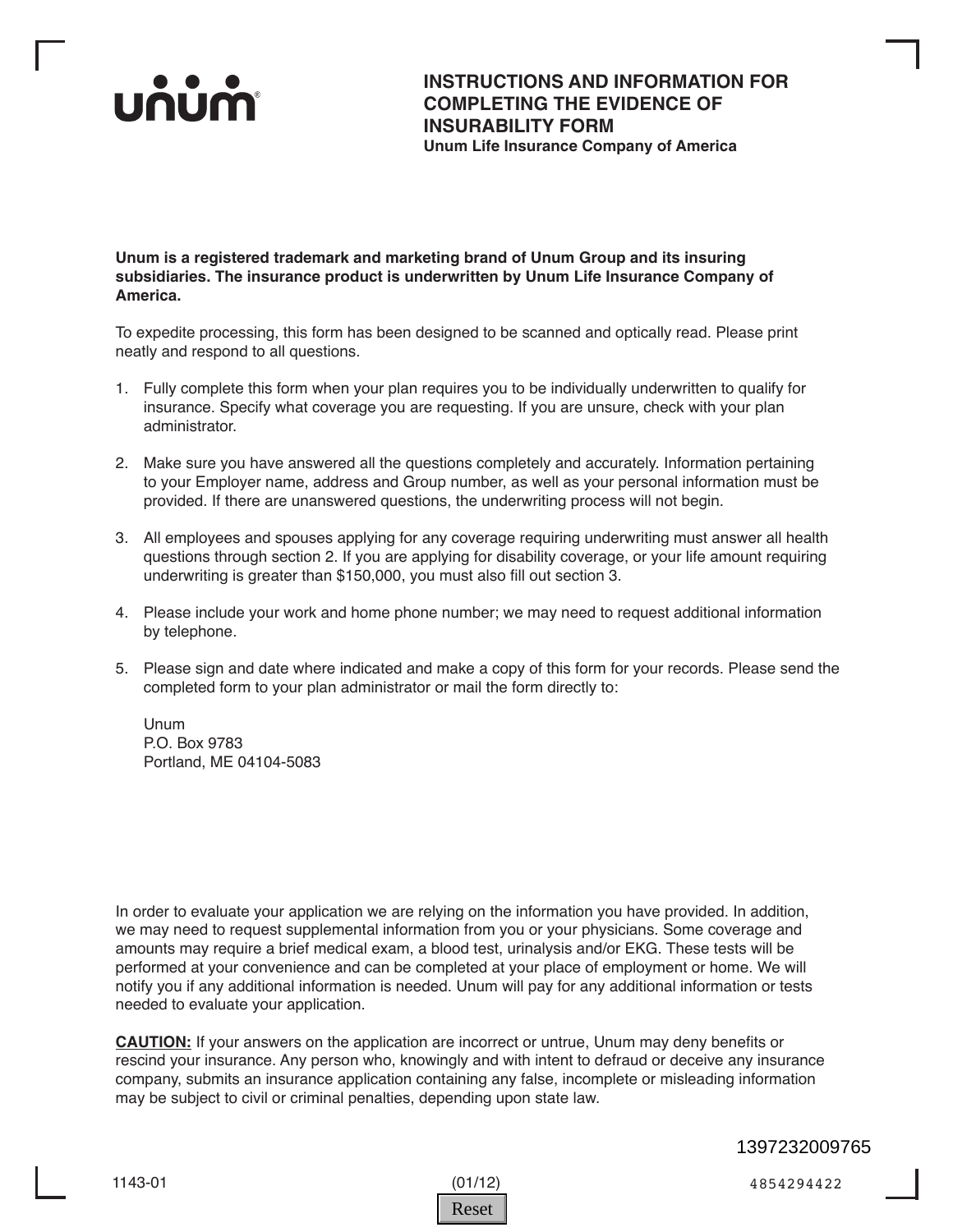

**INSTRUCTIONS AND INFORMATION FOR COMPLETING THE EVIDENCE OF INSURABILITY FORM Unum Life Insurance Company of America**

**Unum is a registered trademark and marketing brand of Unum Group and its insuring subsidiaries. The insurance product is underwritten by Unum Life Insurance Company of America.**

To expedite processing, this form has been designed to be scanned and optically read. Please print neatly and respond to all questions.

- 1. Fully complete this form when your plan requires you to be individually underwritten to qualify for insurance. Specify what coverage you are requesting. If you are unsure, check with your plan administrator.
- 2. Make sure you have answered all the questions completely and accurately. Information pertaining to your Employer name, address and Group number, as well as your personal information must be provided. If there are unanswered questions, the underwriting process will not begin.
- 3. All employees and spouses applying for any coverage requiring underwriting must answer all health questions through section 2. If you are applying for disability coverage, or your life amount requiring underwriting is greater than \$150,000, you must also fill out section 3.
- 4. Please include your work and home phone number; we may need to request additional information by telephone.
- 5. Please sign and date where indicated and make a copy of this form for your records. Please send the completed form to your plan administrator or mail the form directly to:

Unum P.O. Box 9783 Portland, ME 04104-5083

In order to evaluate your application we are relying on the information you have provided. In addition, we may need to request supplemental information from you or your physicians. Some coverage and amounts may require a brief medical exam, a blood test, urinalysis and/or EKG. These tests will be performed at your convenience and can be completed at your place of employment or home. We will notify you if any additional information is needed. Unum will pay for any additional information or tests needed to evaluate your application.

**CAUTION:** If your answers on the application are incorrect or untrue, Unum may deny benefits or rescind your insurance. Any person who, knowingly and with intent to defraud or deceive any insurance company, submits an insurance application containing any false, incomplete or misleading information may be subject to civil or criminal penalties, depending upon state law.



1143-01 (01/12) 4854294422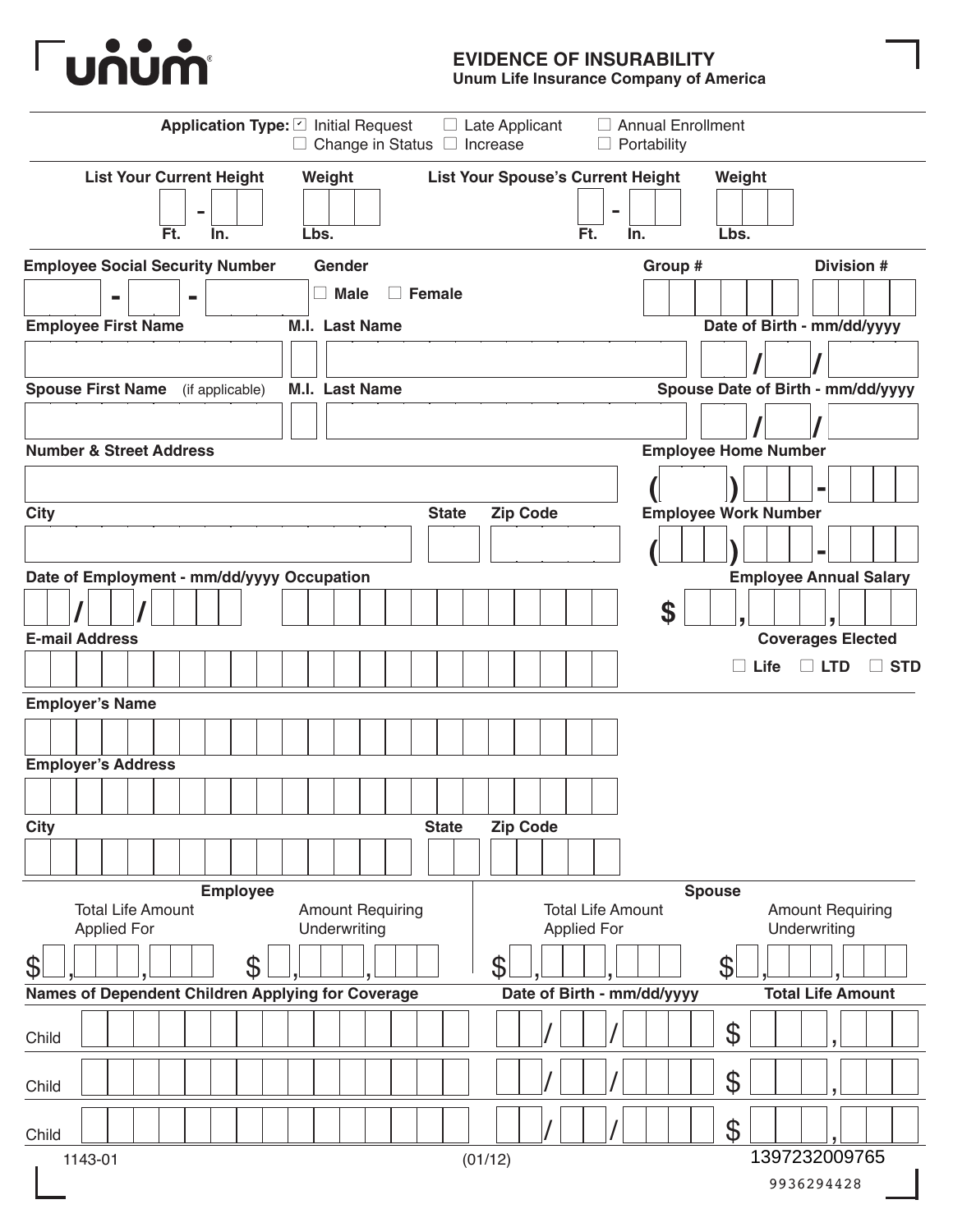

#### **EVIDENCE OF INSURABILITY**

**Unum Life Insurance Company of America**

|                                                                                                          | Application Type: 2 Initial Request<br>$\Box$ Change in Status  | Annual Enrollment<br>$\Box$ Late Applicant<br>$\Box$ Increase<br>$\Box$ Portability |                                                           |
|----------------------------------------------------------------------------------------------------------|-----------------------------------------------------------------|-------------------------------------------------------------------------------------|-----------------------------------------------------------|
| <b>List Your Current Height</b><br>Ft.<br>In.                                                            | Weight<br>Lbs.                                                  | <b>List Your Spouse's Current Height</b><br>Ft.<br>In.                              | Weight<br>Lbs.                                            |
| <b>Employee Social Security Number</b><br>$\blacksquare$<br>$\blacksquare$<br><b>Employee First Name</b> | Gender<br><b>Male</b><br>$\Box$ Female<br><b>M.I. Last Name</b> | Group #                                                                             | Division #<br>Date of Birth - mm/dd/yyyy                  |
| <b>Spouse First Name</b><br>(if applicable)                                                              | <b>M.I. Last Name</b>                                           |                                                                                     | Spouse Date of Birth - mm/dd/yyyy                         |
| <b>Number &amp; Street Address</b>                                                                       |                                                                 |                                                                                     | <b>Employee Home Number</b>                               |
| <b>City</b>                                                                                              | <b>State</b>                                                    | <b>Zip Code</b>                                                                     | <b>Employee Work Number</b>                               |
| Date of Employment - mm/dd/yyyy Occupation<br><b>E-mail Address</b>                                      |                                                                 | \$                                                                                  | <b>Employee Annual Salary</b><br><b>Coverages Elected</b> |
| <b>Employer's Name</b>                                                                                   |                                                                 |                                                                                     | $\Box$ LTD<br><b>STD</b><br>Life                          |
| <b>Employer's Address</b>                                                                                |                                                                 |                                                                                     |                                                           |
| <b>City</b>                                                                                              | <b>State</b>                                                    | <b>Zip Code</b>                                                                     |                                                           |
| <b>Employee</b>                                                                                          |                                                                 |                                                                                     | <b>Spouse</b>                                             |
| <b>Total Life Amount</b><br><b>Applied For</b>                                                           | <b>Amount Requiring</b><br>Underwriting                         | <b>Total Life Amount</b><br><b>Applied For</b>                                      | <b>Amount Requiring</b><br>Underwriting                   |
| \$<br>\$<br>Names of Dependent Children Applying for Coverage                                            |                                                                 | \$<br>Date of Birth - mm/dd/yyyy                                                    | $\boldsymbol{\varphi}$<br><b>Total Life Amount</b>        |
| Child                                                                                                    |                                                                 |                                                                                     | $\boldsymbol{\theta}$                                     |
| Child                                                                                                    |                                                                 |                                                                                     | \$                                                        |
| Child<br>1143-01                                                                                         |                                                                 | (01/12)                                                                             | $\boldsymbol{\mathcal{S}}$<br>1397232009765               |
|                                                                                                          |                                                                 |                                                                                     | 9936294428                                                |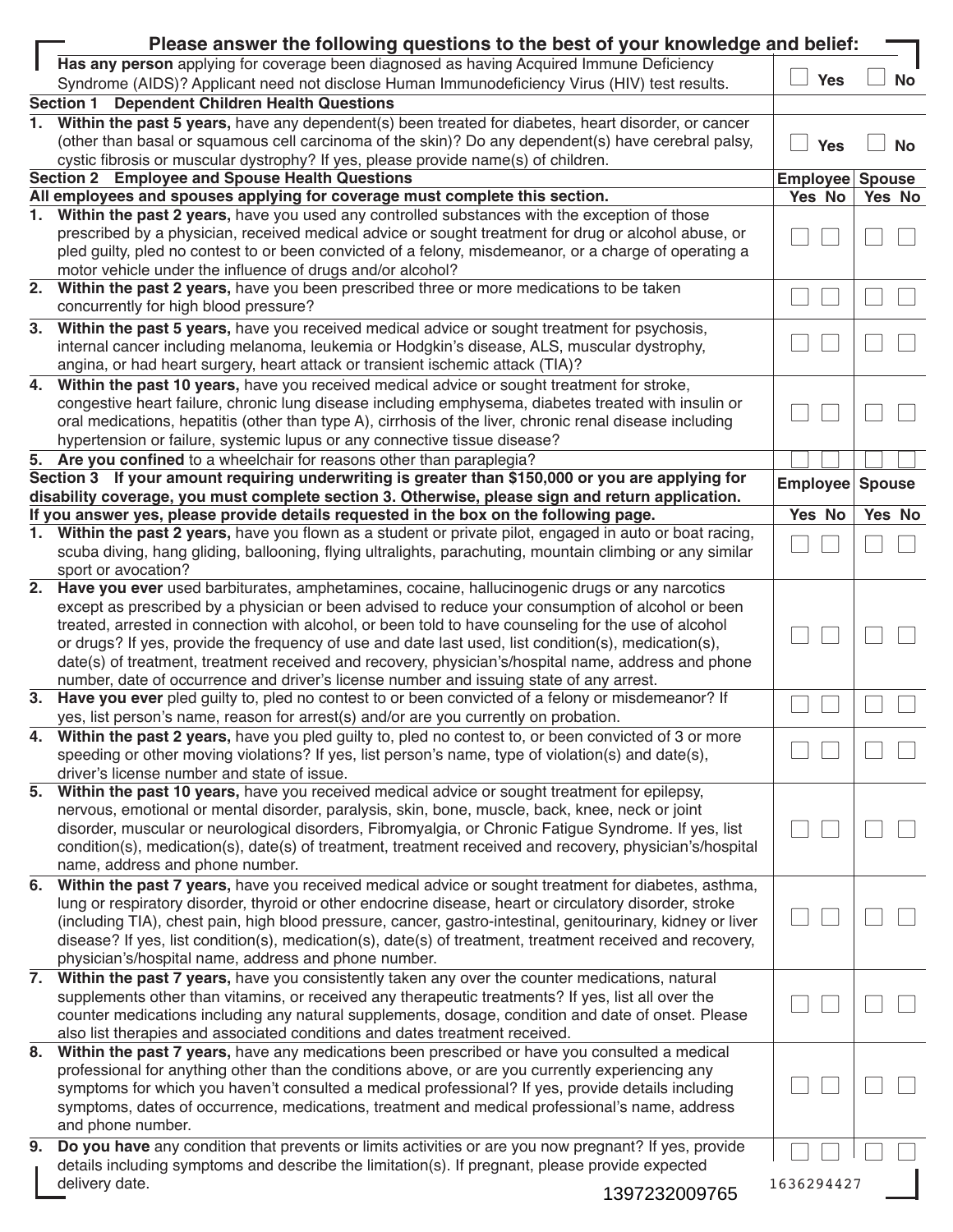|    | Please answer the following questions to the best of your knowledge and belief:                                                                                                                      |                 |           |  |  |  |  |
|----|------------------------------------------------------------------------------------------------------------------------------------------------------------------------------------------------------|-----------------|-----------|--|--|--|--|
|    | Has any person applying for coverage been diagnosed as having Acquired Immune Deficiency                                                                                                             |                 |           |  |  |  |  |
|    | Syndrome (AIDS)? Applicant need not disclose Human Immunodeficiency Virus (HIV) test results.                                                                                                        | <b>Yes</b>      | <b>No</b> |  |  |  |  |
|    | Section 1 Dependent Children Health Questions                                                                                                                                                        |                 |           |  |  |  |  |
| 1. | Within the past 5 years, have any dependent(s) been treated for diabetes, heart disorder, or cancer                                                                                                  |                 |           |  |  |  |  |
|    | (other than basal or squamous cell carcinoma of the skin)? Do any dependent(s) have cerebral palsy,                                                                                                  | <b>Yes</b>      | <b>No</b> |  |  |  |  |
|    | cystic fibrosis or muscular dystrophy? If yes, please provide name(s) of children.                                                                                                                   |                 |           |  |  |  |  |
|    | Section 2 Employee and Spouse Health Questions                                                                                                                                                       | Employee Spouse |           |  |  |  |  |
|    | All employees and spouses applying for coverage must complete this section.                                                                                                                          | Yes No          | Yes No    |  |  |  |  |
| 1. | Within the past 2 years, have you used any controlled substances with the exception of those                                                                                                         |                 |           |  |  |  |  |
|    | prescribed by a physician, received medical advice or sought treatment for drug or alcohol abuse, or                                                                                                 |                 |           |  |  |  |  |
|    | pled guilty, pled no contest to or been convicted of a felony, misdemeanor, or a charge of operating a                                                                                               |                 |           |  |  |  |  |
|    | motor vehicle under the influence of drugs and/or alcohol?                                                                                                                                           |                 |           |  |  |  |  |
| 2. | Within the past 2 years, have you been prescribed three or more medications to be taken                                                                                                              |                 |           |  |  |  |  |
|    | concurrently for high blood pressure?                                                                                                                                                                |                 |           |  |  |  |  |
| 3. | Within the past 5 years, have you received medical advice or sought treatment for psychosis,                                                                                                         |                 |           |  |  |  |  |
|    | internal cancer including melanoma, leukemia or Hodgkin's disease, ALS, muscular dystrophy,                                                                                                          |                 |           |  |  |  |  |
|    | angina, or had heart surgery, heart attack or transient ischemic attack (TIA)?                                                                                                                       |                 |           |  |  |  |  |
| 4. | Within the past 10 years, have you received medical advice or sought treatment for stroke,                                                                                                           |                 |           |  |  |  |  |
|    | congestive heart failure, chronic lung disease including emphysema, diabetes treated with insulin or                                                                                                 |                 |           |  |  |  |  |
|    | oral medications, hepatitis (other than type A), cirrhosis of the liver, chronic renal disease including                                                                                             |                 |           |  |  |  |  |
|    | hypertension or failure, systemic lupus or any connective tissue disease?                                                                                                                            |                 |           |  |  |  |  |
|    | 5. Are you confined to a wheelchair for reasons other than paraplegia?                                                                                                                               |                 |           |  |  |  |  |
|    | Section 3 If your amount requiring underwriting is greater than \$150,000 or you are applying for                                                                                                    | Employee Spouse |           |  |  |  |  |
|    | disability coverage, you must complete section 3. Otherwise, please sign and return application.                                                                                                     |                 |           |  |  |  |  |
|    | If you answer yes, please provide details requested in the box on the following page.                                                                                                                | Yes No          | Yes No    |  |  |  |  |
| 1. | Within the past 2 years, have you flown as a student or private pilot, engaged in auto or boat racing,                                                                                               |                 |           |  |  |  |  |
|    | scuba diving, hang gliding, ballooning, flying ultralights, parachuting, mountain climbing or any similar<br>sport or avocation?                                                                     |                 |           |  |  |  |  |
|    | 2. Have you ever used barbiturates, amphetamines, cocaine, hallucinogenic drugs or any narcotics                                                                                                     |                 |           |  |  |  |  |
|    | except as prescribed by a physician or been advised to reduce your consumption of alcohol or been                                                                                                    |                 |           |  |  |  |  |
|    | treated, arrested in connection with alcohol, or been told to have counseling for the use of alcohol                                                                                                 |                 |           |  |  |  |  |
|    | or drugs? If yes, provide the frequency of use and date last used, list condition(s), medication(s),                                                                                                 |                 |           |  |  |  |  |
|    | date(s) of treatment, treatment received and recovery, physician's/hospital name, address and phone                                                                                                  |                 |           |  |  |  |  |
|    | number, date of occurrence and driver's license number and issuing state of any arrest.                                                                                                              |                 |           |  |  |  |  |
| 3. | Have you ever pled guilty to, pled no contest to or been convicted of a felony or misdemeanor? If                                                                                                    |                 |           |  |  |  |  |
|    | yes, list person's name, reason for arrest(s) and/or are you currently on probation.                                                                                                                 |                 |           |  |  |  |  |
| 4. | Within the past 2 years, have you pled guilty to, pled no contest to, or been convicted of 3 or more                                                                                                 |                 |           |  |  |  |  |
|    | speeding or other moving violations? If yes, list person's name, type of violation(s) and date(s),                                                                                                   |                 |           |  |  |  |  |
|    | driver's license number and state of issue.                                                                                                                                                          |                 |           |  |  |  |  |
| 5. | Within the past 10 years, have you received medical advice or sought treatment for epilepsy,                                                                                                         |                 |           |  |  |  |  |
|    | nervous, emotional or mental disorder, paralysis, skin, bone, muscle, back, knee, neck or joint                                                                                                      |                 |           |  |  |  |  |
|    | disorder, muscular or neurological disorders, Fibromyalgia, or Chronic Fatigue Syndrome. If yes, list                                                                                                |                 |           |  |  |  |  |
|    | condition(s), medication(s), date(s) of treatment, treatment received and recovery, physician's/hospital                                                                                             |                 |           |  |  |  |  |
|    | name, address and phone number.                                                                                                                                                                      |                 |           |  |  |  |  |
| 6. | Within the past 7 years, have you received medical advice or sought treatment for diabetes, asthma,                                                                                                  |                 |           |  |  |  |  |
|    | lung or respiratory disorder, thyroid or other endocrine disease, heart or circulatory disorder, stroke                                                                                              |                 |           |  |  |  |  |
|    | (including TIA), chest pain, high blood pressure, cancer, gastro-intestinal, genitourinary, kidney or liver                                                                                          |                 |           |  |  |  |  |
|    | disease? If yes, list condition(s), medication(s), date(s) of treatment, treatment received and recovery,                                                                                            |                 |           |  |  |  |  |
|    | physician's/hospital name, address and phone number.                                                                                                                                                 |                 |           |  |  |  |  |
| 7. | Within the past 7 years, have you consistently taken any over the counter medications, natural                                                                                                       |                 |           |  |  |  |  |
|    | supplements other than vitamins, or received any therapeutic treatments? If yes, list all over the                                                                                                   |                 |           |  |  |  |  |
|    | counter medications including any natural supplements, dosage, condition and date of onset. Please                                                                                                   |                 |           |  |  |  |  |
|    | also list therapies and associated conditions and dates treatment received.                                                                                                                          |                 |           |  |  |  |  |
|    | 8. Within the past 7 years, have any medications been prescribed or have you consulted a medical                                                                                                     |                 |           |  |  |  |  |
|    | professional for anything other than the conditions above, or are you currently experiencing any                                                                                                     |                 |           |  |  |  |  |
|    | symptoms for which you haven't consulted a medical professional? If yes, provide details including<br>symptoms, dates of occurrence, medications, treatment and medical professional's name, address |                 |           |  |  |  |  |
|    | and phone number.                                                                                                                                                                                    |                 |           |  |  |  |  |
|    | Do you have any condition that prevents or limits activities or are you now pregnant? If yes, provide                                                                                                |                 |           |  |  |  |  |
| 9. | details including symptoms and describe the limitation(s). If pregnant, please provide expected                                                                                                      |                 |           |  |  |  |  |
|    | delivery date.                                                                                                                                                                                       | 1636294427      |           |  |  |  |  |
|    | 1397232009765                                                                                                                                                                                        |                 |           |  |  |  |  |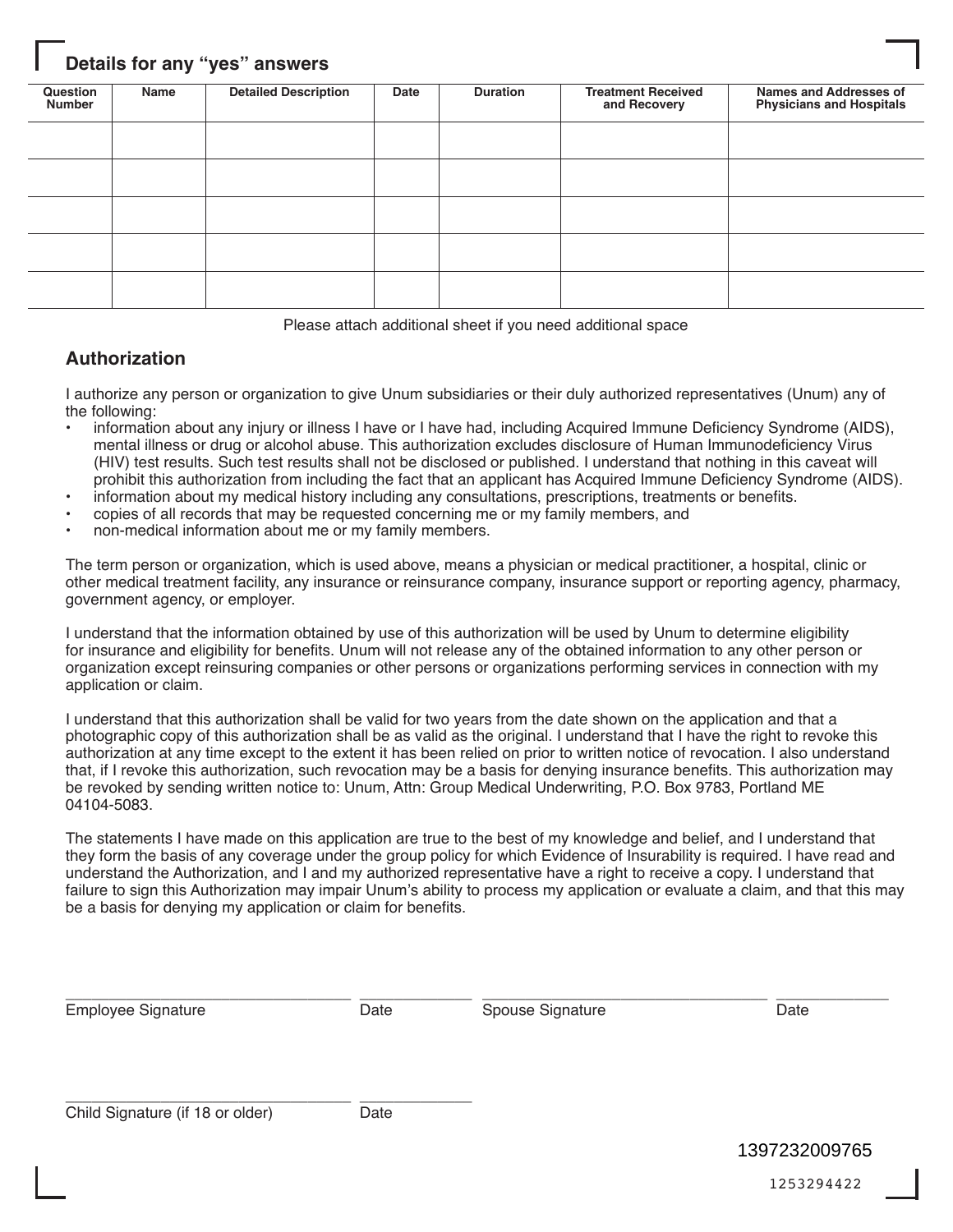#### **Details for any "yes" answers**

| Question<br><b>Number</b> | Name | <b>Detailed Description</b> | Date | <b>Duration</b> | <b>Treatment Received</b><br>and Recovery | <b>Names and Addresses of</b><br><b>Physicians and Hospitals</b> |
|---------------------------|------|-----------------------------|------|-----------------|-------------------------------------------|------------------------------------------------------------------|
|                           |      |                             |      |                 |                                           |                                                                  |
|                           |      |                             |      |                 |                                           |                                                                  |
|                           |      |                             |      |                 |                                           |                                                                  |
|                           |      |                             |      |                 |                                           |                                                                  |
|                           |      |                             |      |                 |                                           |                                                                  |

Please attach additional sheet if you need additional space

#### **Authorization**

I authorize any person or organization to give Unum subsidiaries or their duly authorized representatives (Unum) any of the following:

- information about any injury or illness I have or I have had, including Acquired Immune Deficiency Syndrome (AIDS), mental illness or drug or alcohol abuse. This authorization excludes disclosure of Human Immunodeficiency Virus (HIV) test results. Such test results shall not be disclosed or published. I understand that nothing in this caveat will prohibit this authorization from including the fact that an applicant has Acquired Immune Deficiency Syndrome (AIDS).
- information about my medical history including any consultations, prescriptions, treatments or benefits.
- copies of all records that may be requested concerning me or my family members, and
- non-medical information about me or my family members.

The term person or organization, which is used above, means a physician or medical practitioner, a hospital, clinic or other medical treatment facility, any insurance or reinsurance company, insurance support or reporting agency, pharmacy, government agency, or employer.

I understand that the information obtained by use of this authorization will be used by Unum to determine eligibility for insurance and eligibility for benefits. Unum will not release any of the obtained information to any other person or organization except reinsuring companies or other persons or organizations performing services in connection with my application or claim.

I understand that this authorization shall be valid for two years from the date shown on the application and that a photographic copy of this authorization shall be as valid as the original. I understand that I have the right to revoke this authorization at any time except to the extent it has been relied on prior to written notice of revocation. I also understand that, if I revoke this authorization, such revocation may be a basis for denying insurance benefits. This authorization may be revoked by sending written notice to: Unum, Attn: Group Medical Underwriting, P.O. Box 9783, Portland ME 04104-5083.

The statements I have made on this application are true to the best of my knowledge and belief, and I understand that they form the basis of any coverage under the group policy for which Evidence of Insurability is required. I have read and understand the Authorization, and I and my authorized representative have a right to receive a copy. I understand that failure to sign this Authorization may impair Unum's ability to process my application or evaluate a claim, and that this may be a basis for denying my application or claim for benefits.

\_\_\_\_\_\_\_\_\_\_\_\_\_\_\_\_\_\_\_\_\_\_\_\_\_\_\_\_\_\_\_\_\_ \_\_\_\_\_\_\_\_\_\_\_\_\_ \_\_\_\_\_\_\_\_\_\_\_\_\_\_\_\_\_\_\_\_\_\_\_\_\_\_\_\_\_\_\_\_\_ \_\_\_\_\_\_\_\_\_\_\_\_\_ Employee Signature **Supplement Contact Contact Contact Contact Contact Contact Contact Contact Contact Contact Contact Contact Contact Contact Contact Contact Contact Contact Contact Contact Contact Contact Contact Contact** 

\_\_\_\_\_\_\_\_\_\_\_\_\_\_\_\_\_\_\_\_\_\_\_\_\_\_\_\_\_\_\_\_\_ \_\_\_\_\_\_\_\_\_\_\_\_\_ Child Signature (if 18 or older) Date

1397232009765

1253294422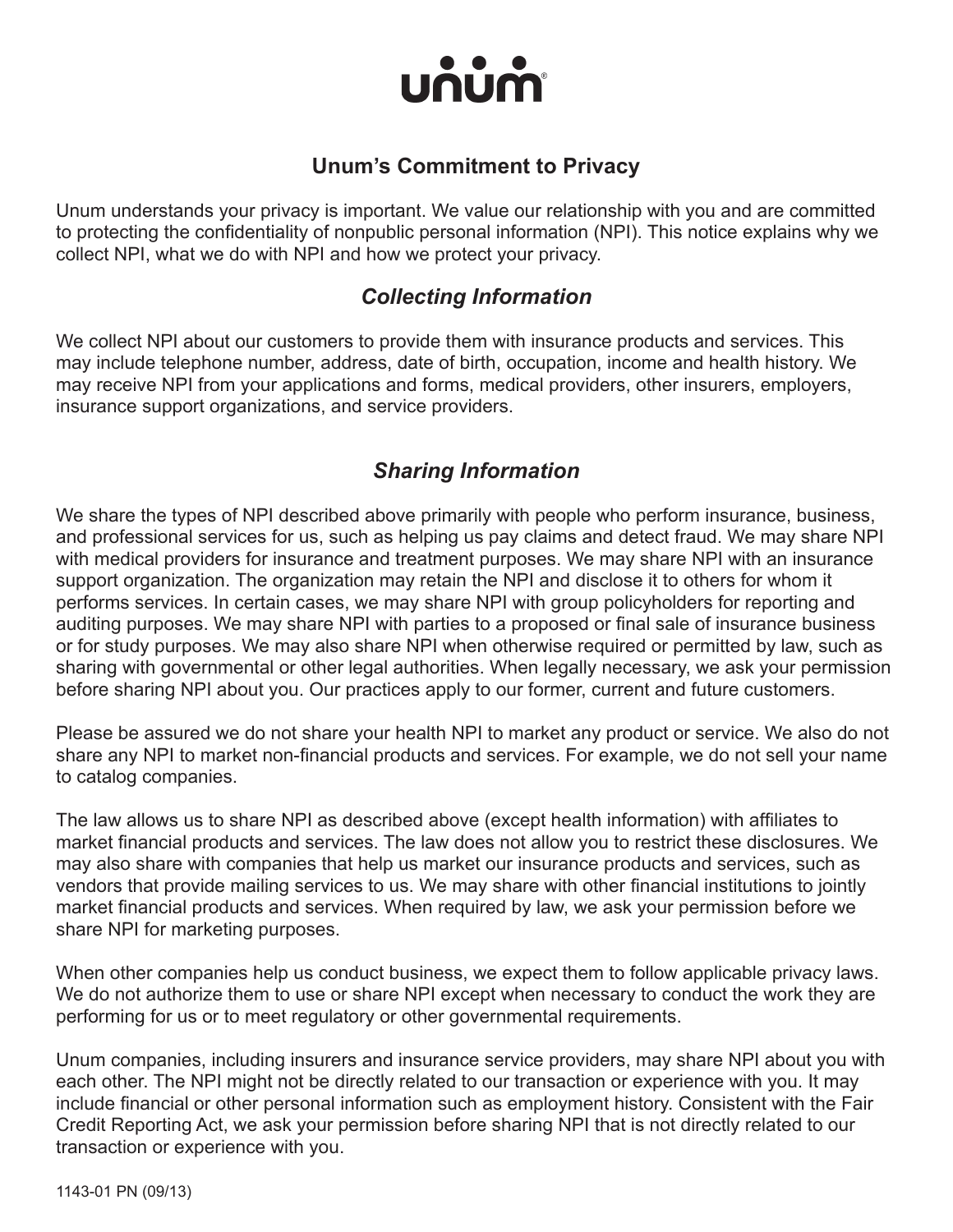

#### **Unum's Commitment to Privacy**

Unum understands your privacy is important. We value our relationship with you and are committed to protecting the confidentiality of nonpublic personal information (NPI). This notice explains why we collect NPI, what we do with NPI and how we protect your privacy.

## *Collecting Information*

We collect NPI about our customers to provide them with insurance products and services. This may include telephone number, address, date of birth, occupation, income and health history. We may receive NPI from your applications and forms, medical providers, other insurers, employers, insurance support organizations, and service providers.

## *Sharing Information*

We share the types of NPI described above primarily with people who perform insurance, business, and professional services for us, such as helping us pay claims and detect fraud. We may share NPI with medical providers for insurance and treatment purposes. We may share NPI with an insurance support organization. The organization may retain the NPI and disclose it to others for whom it performs services. In certain cases, we may share NPI with group policyholders for reporting and auditing purposes. We may share NPI with parties to a proposed or final sale of insurance business or for study purposes. We may also share NPI when otherwise required or permitted by law, such as sharing with governmental or other legal authorities. When legally necessary, we ask your permission before sharing NPI about you. Our practices apply to our former, current and future customers.

Please be assured we do not share your health NPI to market any product or service. We also do not share any NPI to market non-financial products and services. For example, we do not sell your name to catalog companies.

The law allows us to share NPI as described above (except health information) with affiliates to market financial products and services. The law does not allow you to restrict these disclosures. We may also share with companies that help us market our insurance products and services, such as vendors that provide mailing services to us. We may share with other financial institutions to jointly market financial products and services. When required by law, we ask your permission before we share NPI for marketing purposes.

When other companies help us conduct business, we expect them to follow applicable privacy laws. We do not authorize them to use or share NPI except when necessary to conduct the work they are performing for us or to meet regulatory or other governmental requirements.

Unum companies, including insurers and insurance service providers, may share NPI about you with each other. The NPI might not be directly related to our transaction or experience with you. It may include financial or other personal information such as employment history. Consistent with the Fair Credit Reporting Act, we ask your permission before sharing NPI that is not directly related to our transaction or experience with you.